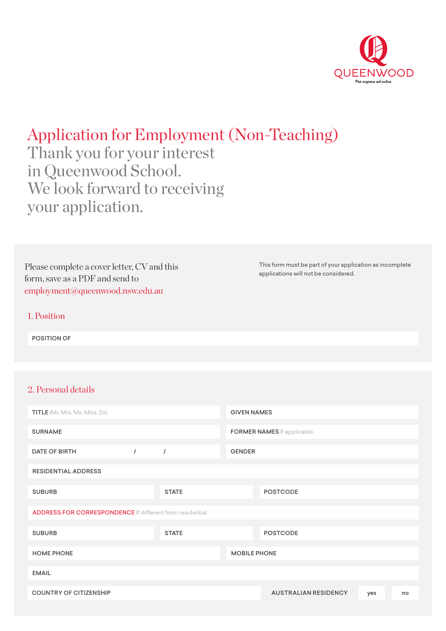

# Application for Employment (Non-Teaching)

Thank you for your interest in Queenwood School. We look forward to receiving your application.

Please complete a cover letter, CV and this form, save as a PDF and send to [employment@queenwood.nsw.edu.au](mailto:employment%40queenwood.nsw.edu.au?subject=)

This form must be part of your application as incomplete applications will not be considered.

## 1. Position

POSITION OF

## 2. Personal details

| <b>TITLE</b> (Mr, Mrs, Ms, Miss, Dr)                            |          |              | <b>GIVEN NAMES</b>  |                                   |     |    |
|-----------------------------------------------------------------|----------|--------------|---------------------|-----------------------------------|-----|----|
| <b>SURNAME</b>                                                  |          |              |                     | <b>FORMER NAMES</b> If applicable |     |    |
| <b>DATE OF BIRTH</b>                                            | $\prime$ | $\prime$     | <b>GENDER</b>       |                                   |     |    |
| <b>RESIDENTIAL ADDRESS</b>                                      |          |              |                     |                                   |     |    |
| <b>SUBURB</b>                                                   |          | <b>STATE</b> |                     | <b>POSTCODE</b>                   |     |    |
| <b>ADDRESS FOR CORRESPONDENCE</b> If different from residential |          |              |                     |                                   |     |    |
| <b>SUBURB</b>                                                   |          | <b>STATE</b> |                     | <b>POSTCODE</b>                   |     |    |
| <b>HOME PHONE</b>                                               |          |              | <b>MOBILE PHONE</b> |                                   |     |    |
| <b>EMAIL</b>                                                    |          |              |                     |                                   |     |    |
| <b>COUNTRY OF CITIZENSHIP</b>                                   |          |              |                     | <b>AUSTRALIAN RESIDENCY</b>       | yes | no |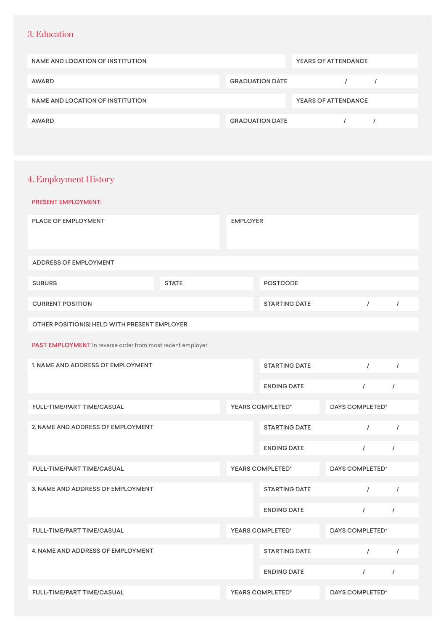## 3. Education

| NAME AND LOCATION OF INSTITUTION |                        | YEARS OF ATTENDANCE |  |
|----------------------------------|------------------------|---------------------|--|
| AWARD                            | <b>GRADUATION DATE</b> |                     |  |
| NAME AND LOCATION OF INSTITUTION |                        | YEARS OF ATTENDANCE |  |
| AWARD                            | <b>GRADUATION DATE</b> |                     |  |

## 4. Employment History

| <b>PRESENT EMPLOYMENT:</b>                                  |              |                 |                      |                 |            |
|-------------------------------------------------------------|--------------|-----------------|----------------------|-----------------|------------|
| PLACE OF EMPLOYMENT                                         |              | <b>EMPLOYER</b> |                      |                 |            |
| ADDRESS OF EMPLOYMENT                                       |              |                 |                      |                 |            |
| <b>SUBURB</b>                                               | <b>STATE</b> |                 | <b>POSTCODE</b>      |                 |            |
| <b>CURRENT POSITION</b>                                     |              |                 | <b>STARTING DATE</b> | $\prime$        | $\prime$   |
| OTHER POSITION(S) HELD WITH PRESENT EMPLOYER                |              |                 |                      |                 |            |
| PAST EMPLOYMENT In reverse order from most recent employer: |              |                 |                      |                 |            |
| 1. NAME AND ADDRESS OF EMPLOYMENT                           |              |                 | <b>STARTING DATE</b> | $\prime$        | $\sqrt{ }$ |
|                                                             |              |                 | <b>ENDING DATE</b>   | $\prime$        | $\sqrt{2}$ |
| FULL-TIME/PART TIME/CASUAL                                  |              |                 | YEARS COMPLETED*     | DAYS COMPLETED* |            |
| 2. NAME AND ADDRESS OF EMPLOYMENT                           |              |                 | <b>STARTING DATE</b> | $\prime$        | $\sqrt{ }$ |
|                                                             |              |                 | <b>ENDING DATE</b>   | $\sqrt{ }$      | $\sqrt{ }$ |
| FULL-TIME/PART TIME/CASUAL                                  |              |                 | YEARS COMPLETED*     | DAYS COMPLETED* |            |
| 3. NAME AND ADDRESS OF EMPLOYMENT                           |              |                 | <b>STARTING DATE</b> | $\prime$        | $\sqrt{2}$ |
|                                                             |              |                 | <b>ENDING DATE</b>   | $\prime$        | $\sqrt{ }$ |
| FULL-TIME/PART TIME/CASUAL                                  |              |                 | YEARS COMPLETED*     | DAYS COMPLETED* |            |
| 4. NAME AND ADDRESS OF EMPLOYMENT                           |              |                 | <b>STARTING DATE</b> | $\prime$        | $\prime$   |
|                                                             |              |                 | <b>ENDING DATE</b>   | $\sqrt{ }$      | $\sqrt{ }$ |
| FULL-TIME/PART TIME/CASUAL                                  |              |                 | YEARS COMPLETED*     | DAYS COMPLETED* |            |